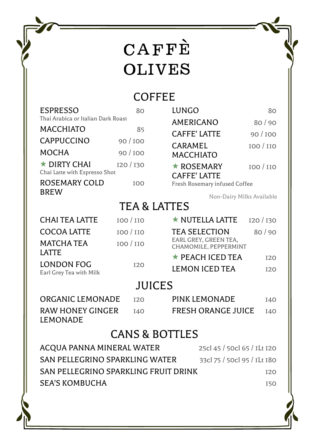#### **COFFEE**

| <b>ESPRESSO</b>                                     | 80                      | <b>LUNGO</b>                                         | 80         |
|-----------------------------------------------------|-------------------------|------------------------------------------------------|------------|
| Thai Arabica or Italian Dark Roast                  |                         | AMERICANO                                            | 80/90      |
| <b>MACCHIATO</b>                                    | 85                      | <b>CAFFE' LATTE</b>                                  | 90/100     |
| <b>CAPPUCCINO</b>                                   | 90/100                  | CARAMEL                                              | 100 / 110  |
| MOCHA                                               | 90/100                  | <b>MACCHIATO</b>                                     |            |
| $\star$ DIRTY CHAI<br>Chai Latte with Espresso Shot | I20 / I30               | $\star$ ROSEMARY                                     | 100 / 110  |
| ROSEMARY COLD<br><b>BREW</b>                        | T <sub>00</sub>         | <b>CAFFE' LATTE</b><br>Fresh Rosemary infused Coffee |            |
|                                                     |                         | Non-Dairy Milks Available                            |            |
|                                                     | <b>TEA &amp; LATTES</b> |                                                      |            |
| <b>CHAI TEA LATTE</b>                               | <b>IOO</b> / <b>IIO</b> | ★ NUTELLA LATTE                                      | 120/130    |
| <b>COCOA LATTE</b>                                  | 100 / 110               | <b>TEA SELECTION</b>                                 | 80/90      |
| MATCHA TEA                                          | 100 / 110               | EARL GREY, GREEN TEA,<br>CHAMOMILE, PEPPERMINT       |            |
| <b>LATTE</b>                                        |                         | $\star$ PEACH ICED TEA                               | <b>I20</b> |
| <b>LONDON FOG</b><br>Earl Grey Tea with Milk        | <b>I20</b>              | <b>LEMON ICED TEA</b>                                | <b>I20</b> |
|                                                     | <b>JUICES</b>           |                                                      |            |
| ORGANIC LEMONADE                                    | <b>T20</b>              | PINK LEMONADE                                        | <b>I40</b> |
|                                                     |                         |                                                      |            |

RAW HONEY GINGER 140 FRESH ORANGE JUICE 140 LEMONADE

#### CANS & BOTTLES

| ACQUA PANNA MINERAL WATER            | 25cl 45 / 50cl 65 / ILt I20 |
|--------------------------------------|-----------------------------|
| SAN PELLEGRINO SPARKLING WATER       | 33cl 75 / 50cl 95 / ILt 180 |
| SAN PELLEGRINO SPARKLING FRUIT DRINK | 12.O                        |
| <b>SEA'S KOMBUCHA</b>                | I50                         |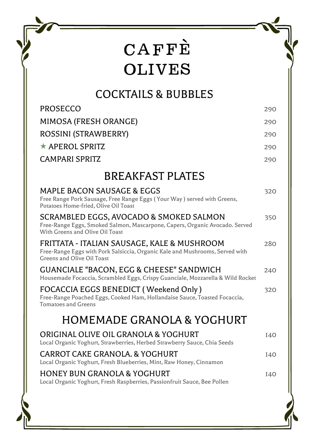#### COCKTAILS & BUBBLES

| <b>PROSECCO</b>                                                                                                                                           | 290        |
|-----------------------------------------------------------------------------------------------------------------------------------------------------------|------------|
| MIMOSA (FRESH ORANGE)                                                                                                                                     | 290        |
| ROSSINI (STRAWBERRY)                                                                                                                                      | 290        |
| $\star$ APEROL SPRITZ                                                                                                                                     | 290        |
| <b>CAMPARI SPRITZ</b>                                                                                                                                     | 290        |
| <b>BREAKFAST PLATES</b>                                                                                                                                   |            |
| MAPLE BACON SAUSAGE & EGGS<br>Free Range Pork Sausage, Free Range Eggs (Your Way) served with Greens,<br>Potatoes Home-fried, Olive Oil Toast             | 320        |
| SCRAMBLED EGGS, AVOCADO & SMOKED SALMON<br>Free-Range Eggs, Smoked Salmon, Mascarpone, Capers, Organic Avocado. Served<br>With Greens and Olive Oil Toast | 350        |
| FRITTATA - ITALIAN SAUSAGE, KALE & MUSHROOM<br>Free-Range Eggs with Pork Salsiccia, Organic Kale and Mushrooms, Served with<br>Greens and Olive Oil Toast | 280        |
| <b>GUANCIALE "BACON, EGG &amp; CHEESE" SANDWICH</b><br>Housemade Focaccia, Scrambled Eggs, Crispy Guanciale, Mozzarella & Wild Rocket                     | 240        |
| FOCACCIA EGGS BENEDICT (Weekend Only)<br>Free-Range Poached Eggs, Cooked Ham, Hollandaise Sauce, Toasted Focaccia,<br><b>Tomatoes and Greens</b>          | 320        |
| HOMEMADE GRANOLA & YOGHURT                                                                                                                                |            |
| ORIGINAL OLIVE OIL GRANOLA & YOGHURT<br>Local Organic Yoghurt, Strawberries, Herbed Strawberry Sauce, Chia Seeds                                          | <b>I40</b> |
| CARROT CAKE GRANOLA. & YOGHURT<br>Local Organic Yoghurt, Fresh Blueberries, Mint, Raw Honey, Cinnamon                                                     | <b>I40</b> |
| HONEY BUN GRANOLA & YOGHURT<br>Local Organic Yoghurt, Fresh Raspberries, Passionfruit Sauce, Bee Pollen                                                   | <b>I40</b> |
|                                                                                                                                                           |            |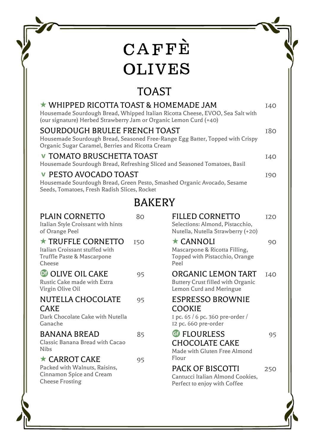### TOAST

|                                                                                                               | $\star$ WHIPPED RICOTTA TOAST & HOMEMADE JAM<br>Housemade Sourdough Bread, Whipped Italian Ricotta Cheese, EVOO, Sea Salt with<br>(our signature) Herbed Strawberry Jam or Organic Lemon Curd (+40) |            |                                                                                                      | <b>I40</b> |
|---------------------------------------------------------------------------------------------------------------|-----------------------------------------------------------------------------------------------------------------------------------------------------------------------------------------------------|------------|------------------------------------------------------------------------------------------------------|------------|
|                                                                                                               | SOURDOUGH BRULEE FRENCH TOAST<br>Housemade Sourdough Bread, Seasoned Free-Range Egg Batter, Topped with Crispy<br>Organic Sugar Caramel, Berries and Ricotta Cream                                  |            |                                                                                                      | <b>180</b> |
| <b>v TOMATO BRUSCHETTA TOAST</b><br>Housemade Sourdough Bread, Refreshing Sliced and Seasoned Tomatoes, Basil |                                                                                                                                                                                                     |            | <b>I40</b>                                                                                           |            |
|                                                                                                               | <b>v PESTO AVOCADO TOAST</b><br>Housemade Sourdough Bread, Green Pesto, Smashed Organic Avocado, Sesame<br>Seeds, Tomatoes, Fresh Radish Slices, Rocket                                             |            |                                                                                                      | 190        |
|                                                                                                               |                                                                                                                                                                                                     | BAKERY     |                                                                                                      |            |
|                                                                                                               | <b>PLAIN CORNETTO</b><br>Italian Style Croissant with hints<br>of Orange Peel                                                                                                                       | 80         | FILLED CORNETTO<br>Selections: Almond, Pistacchio,<br>Nutella, Nutella Strawberry (+20)              | <b>I20</b> |
|                                                                                                               | $\star$ TRUFFLE CORNETTO<br>Italian Croissant stuffed with<br>Truffle Paste & Mascarpone<br>Cheese                                                                                                  | <b>I50</b> | $\star$ CANNOLI<br>Mascarpone & Ricotta Filling,<br>Topped with Pistacchio, Orange<br>Peel           | 90         |
|                                                                                                               | <b>DE OLIVE OIL CAKE</b><br>Rustic Cake made with Extra<br>Virgin Olive Oil                                                                                                                         | 95         | ORGANIC LEMON TART<br><b>Buttery Crust filled with Organic</b><br>Lemon Curd and Meringue            | <b>I40</b> |
|                                                                                                               | NUTELLA CHOCOLATE<br><b>CAKE</b><br>Dark Chocolate Cake with Nutella<br>Ganache                                                                                                                     | 95         | <b>ESPRESSO BROWNIE</b><br><b>COOKIE</b><br>I pc. 65 / 6 pc. 360 pre-order /<br>I2 pc. 660 pre-order |            |
|                                                                                                               | <b>BANANA BREAD</b><br>Classic Banana Bread with Cacao<br><b>Nibs</b>                                                                                                                               | 85         | <b>G</b> FLOURLESS<br><b>CHOCOLATE CAKE</b><br>Made with Gluten Free Almond                          | 95         |
|                                                                                                               | $\star$ CARROT CAKE<br>Packed with Walnuts, Raisins,                                                                                                                                                | 95         | Flour<br>PACK OF BISCOTTI                                                                            | 250        |

Packed with Walnuts, Raisins, Cinnamon Spice and Cream Cheese Frosting

Cantucci Italian Almond Cookies, Perfect to enjoy with Coffee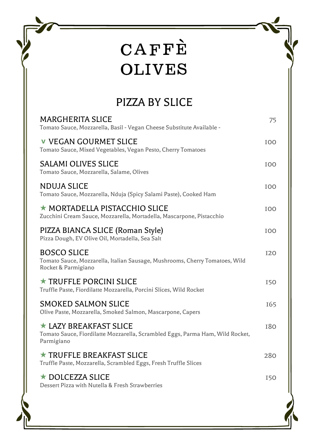#### PIZZA BY SLICE

| MARGHERITA SLICE<br>Tomato Sauce, Mozzarella, Basil - Vegan Cheese Substitute Available -                                   | 75         |
|-----------------------------------------------------------------------------------------------------------------------------|------------|
| <b>v</b> VEGAN GOURMET SLICE<br>Tomato Sauce, Mixed Vegetables, Vegan Pesto, Cherry Tomatoes                                | 100        |
| <b>SALAMI OLIVES SLICE</b><br>Tomato Sauce, Mozzarella, Salame, Olives                                                      | 100        |
| NDUJA SLICE<br>Tomato Sauce, Mozzarella, Nduja (Spicy Salami Paste), Cooked Ham                                             | TOO        |
| ★ MORTADELLA PISTACCHIO SLICE<br>Zucchini Cream Sauce, Mozzarella, Mortadella, Mascarpone, Pistacchio                       | TOO        |
| PIZZA BIANCA SLICE (Roman Style)<br>Pizza Dough, EV Olive Oil, Mortadella, Sea Salt                                         | <b>TOO</b> |
| <b>BOSCO SLICE</b><br>Tomato Sauce, Mozzarella, Italian Sausage, Mushrooms, Cherry Tomatoes, Wild<br>Rocket & Parmigiano    | <b>I20</b> |
| $\star$ TRUFFLE PORCINI SLICE<br>Truffle Paste, Fiordilatte Mozzarella, Porcini Slices, Wild Rocket                         | <b>I50</b> |
| SMOKED SALMON SLICE<br>Olive Paste, Mozzarella, Smoked Salmon, Mascarpone, Capers                                           | I65        |
| $\star$ LAZY BREAKFAST SLICE<br>Tomato Sauce, Fiordilatte Mozzarella, Scrambled Eggs, Parma Ham, Wild Rocket,<br>Parmigiano | <b>180</b> |
| $\star$ TRUFFLE BREAKFAST SLICE<br>Truffle Paste, Mozzarella, Scrambled Eggs, Fresh Truffle Slices                          | 280        |
| $\star$ DOLCEZZA SLICE<br>Dessert Pizza with Nutella & Fresh Strawberries                                                   | <b>I50</b> |
|                                                                                                                             |            |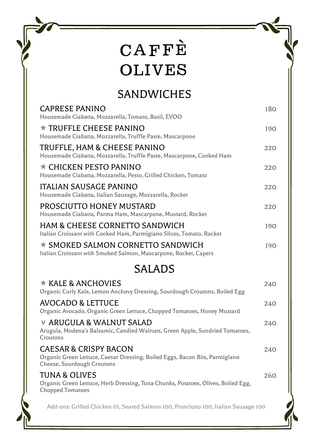#### SANDWICHES

| CAPRESE PANINO<br>Housemade Ciabatta, Mozzarella, Tomato, Basil, EVOO                                                                         | 180        |
|-----------------------------------------------------------------------------------------------------------------------------------------------|------------|
| $\star$ TRUFFLE CHEESE PANINO<br>Housemade Ciabatta, Mozzarella, Truffle Paste, Mascarpone                                                    | <b>I90</b> |
| TRUFFLE, HAM & CHEESE PANINO<br>Housemade Ciabatta, Mozzarella, Truffle Paste, Mascarpone, Cooked Ham                                         | 220        |
| $\star$ CHICKEN PESTO PANINO<br>Housemade Ciabatta, Mozzarella, Pesto, Grilled Chicken, Tomato                                                | 220        |
| ITALIAN SAUSAGE PANINO<br>Housemade Ciabatta, Italian Sausage, Mozzarella, Rocket                                                             | 220        |
| PROSCIUTTO HONEY MUSTARD<br>Housemade Ciabatta, Parma Ham, Mascarpone, Mustard, Rocket                                                        | 220        |
| HAM & CHEESE CORNETTO SANDWICH<br>Italian Croissant with Cooked Ham, Parmigiano Slices, Tomato, Rocket                                        | <b>I90</b> |
| $\star$ SMOKED SALMON CORNETTO SANDWICH<br>Italian Croissant with Smoked Salmon, Mascarpone, Rocket, Capers                                   | <b>I90</b> |
|                                                                                                                                               |            |
| SALADS                                                                                                                                        |            |
| $\star$ KALE & ANCHOVIES<br>Organic Curly Kale, Lemon Anchovy Dressing, Sourdough Croutons, Boiled Egg                                        | 240        |
| AVOCADO & LETTUCE<br>Organic Avocado, Organic Green Lettuce, Chopped Tomatoes, Honey Mustard                                                  | 240        |
| <b>v</b> ARUGULA & WALNUT SALAD<br>Arugula, Modena's Balsamic, Candied Walnuts, Green Apple, Sundried Tomatoes,<br>Croutons                   | 240        |
| <b>CAESAR &amp; CRISPY BACON</b><br>Organic Green Lettuce, Caesar Dressing, Boiled Eggs, Bacon Bits, Parmigiano<br>Cheese, Sourdough Croutons | 240        |
| <b>TUNA &amp; OLIVES</b><br>Organic Green Lettuce, Herb Dressing, Tuna Chunks, Potatoes, Olives, Boiled Egg,<br><b>Chopped Tomatoes</b>       | 260        |